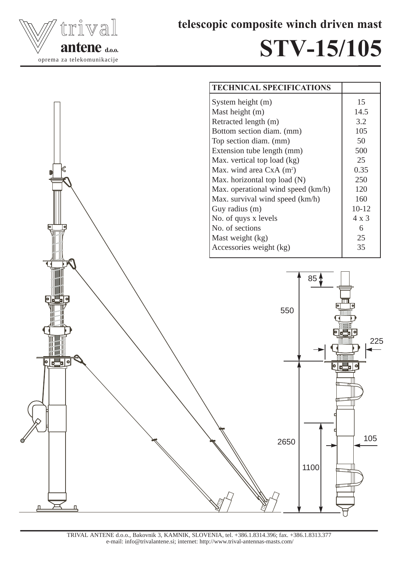

telescopic composite winch driven mast

## STV-15/105